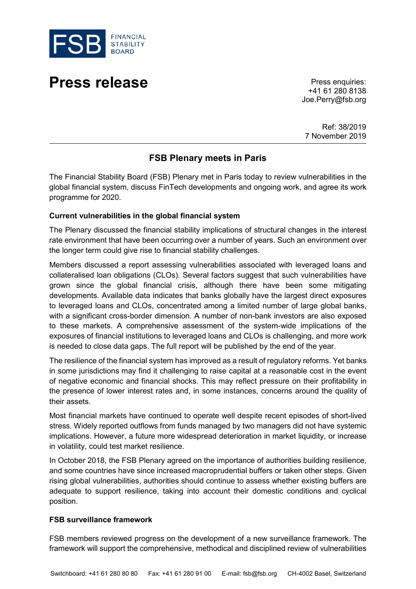

# **Press release** Press enquiries:

+41 61 280 8138 Joe.Perry@fsb.org

Ref: 38/2019 7 November 2019

# **FSB Plenary meets in Paris**

The Financial Stability Board (FSB) Plenary met in Paris today to review vulnerabilities in the global financial system, discuss FinTech developments and ongoing work, and agree its work programme for 2020.

#### **Current vulnerabilities in the global financial system**

The Plenary discussed the financial stability implications of structural changes in the interest rate environment that have been occurring over a number of years. Such an environment over the longer term could give rise to financial stability challenges.

Members discussed a report assessing vulnerabilities associated with leveraged loans and collateralised loan obligations (CLOs). Several factors suggest that such vulnerabilities have grown since the global financial crisis, although there have been some mitigating developments. Available data indicates that banks globally have the largest direct exposures to leveraged loans and CLOs, concentrated among a limited number of large global banks, with a significant cross-border dimension. A number of non-bank investors are also exposed to these markets. A comprehensive assessment of the system-wide implications of the exposures of financial institutions to leveraged loans and CLOs is challenging, and more work is needed to close data gaps. The full report will be published by the end of the year.

The resilience of the financial system has improved as a result of regulatory reforms. Yet banks in some jurisdictions may find it challenging to raise capital at a reasonable cost in the event of negative economic and financial shocks. This may reflect pressure on their profitability in the presence of lower interest rates and, in some instances, concerns around the quality of their assets.

Most financial markets have continued to operate well despite recent episodes of short-lived stress. Widely reported outflows from funds managed by two managers did not have systemic implications. However, a future more widespread deterioration in market liquidity, or increase in volatility, could test market resilience.

In October 2018, the FSB Plenary agreed on the importance of authorities building resilience, and some countries have since increased macroprudential buffers or taken other steps. Given rising global vulnerabilities, authorities should continue to assess whether existing buffers are adequate to support resilience, taking into account their domestic conditions and cyclical position.

### **FSB surveillance framework**

FSB members reviewed progress on the development of a new surveillance framework. The framework will support the comprehensive, methodical and disciplined review of vulnerabilities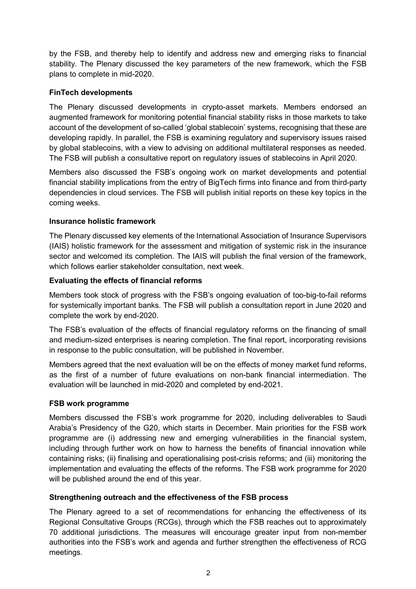by the FSB, and thereby help to identify and address new and emerging risks to financial stability. The Plenary discussed the key parameters of the new framework, which the FSB plans to complete in mid-2020.

## **FinTech developments**

The Plenary discussed developments in crypto-asset markets. Members endorsed an augmented framework for monitoring potential financial stability risks in those markets to take account of the development of so-called 'global stablecoin' systems, recognising that these are developing rapidly. In parallel, the FSB is examining regulatory and supervisory issues raised by global stablecoins, with a view to advising on additional multilateral responses as needed. The FSB will publish a consultative report on regulatory issues of stablecoins in April 2020.

Members also discussed the FSB's ongoing work on market developments and potential financial stability implications from the entry of BigTech firms into finance and from third-party dependencies in cloud services. The FSB will publish initial reports on these key topics in the coming weeks.

### **Insurance holistic framework**

The Plenary discussed key elements of the International Association of Insurance Supervisors (IAIS) holistic framework for the assessment and mitigation of systemic risk in the insurance sector and welcomed its completion. The IAIS will publish the final version of the framework, which follows earlier stakeholder consultation, next week.

#### **Evaluating the effects of financial reforms**

Members took stock of progress with the FSB's ongoing evaluation of too-big-to-fail reforms for systemically important banks. The FSB will publish a consultation report in June 2020 and complete the work by end-2020.

The FSB's evaluation of the effects of financial regulatory reforms on the financing of small and medium-sized enterprises is nearing completion. The final report, incorporating revisions in response to the public consultation, will be published in November.

Members agreed that the next evaluation will be on the effects of money market fund reforms, as the first of a number of future evaluations on non-bank financial intermediation. The evaluation will be launched in mid-2020 and completed by end-2021.

### **FSB work programme**

Members discussed the FSB's work programme for 2020, including deliverables to Saudi Arabia's Presidency of the G20, which starts in December. Main priorities for the FSB work programme are (i) addressing new and emerging vulnerabilities in the financial system, including through further work on how to harness the benefits of financial innovation while containing risks; (ii) finalising and operationalising post-crisis reforms; and (iii) monitoring the implementation and evaluating the effects of the reforms. The FSB work programme for 2020 will be published around the end of this year.

### **Strengthening outreach and the effectiveness of the FSB process**

The Plenary agreed to a set of recommendations for enhancing the effectiveness of its Regional Consultative Groups (RCGs), through which the FSB reaches out to approximately 70 additional jurisdictions. The measures will encourage greater input from non-member authorities into the FSB's work and agenda and further strengthen the effectiveness of RCG meetings.